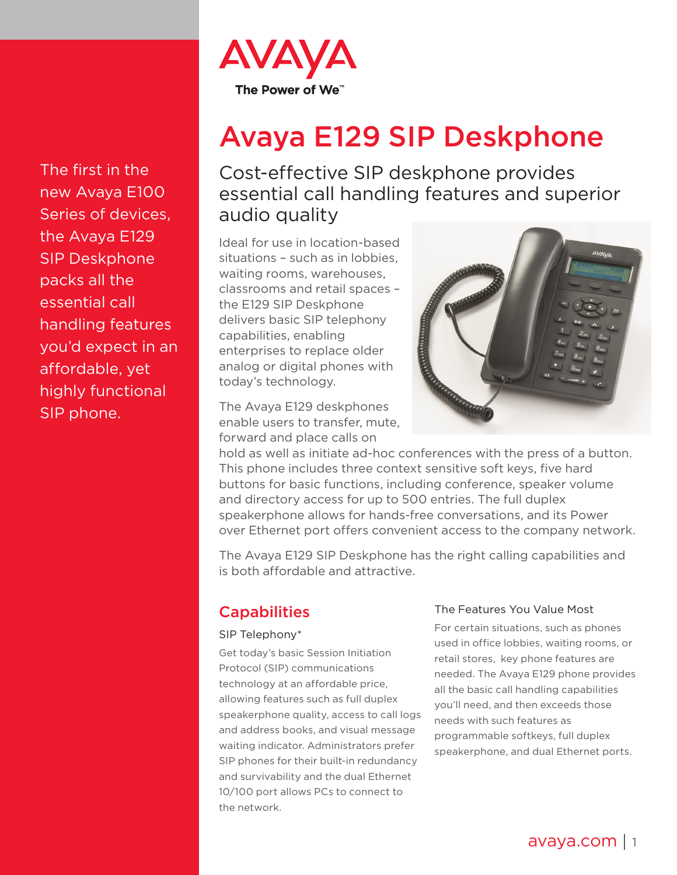

# Avaya E129 SIP Deskphone

Cost-effective SIP deskphone provides essential call handling features and superior audio quality

Ideal for use in location-based situations – such as in lobbies, waiting rooms, warehouses, classrooms and retail spaces – the E129 SIP Deskphone delivers basic SIP telephony capabilities, enabling enterprises to replace older analog or digital phones with today's technology.

The Avaya E129 deskphones enable users to transfer, mute, forward and place calls on



hold as well as initiate ad-hoc conferences with the press of a button. This phone includes three context sensitive soft keys, five hard buttons for basic functions, including conference, speaker volume and directory access for up to 500 entries. The full duplex speakerphone allows for hands-free conversations, and its Power over Ethernet port offers convenient access to the company network.

The Avaya E129 SIP Deskphone has the right calling capabilities and is both affordable and attractive.

## **Capabilities**

### SIP Telephony\*

Get today's basic Session Initiation Protocol (SIP) communications technology at an affordable price, allowing features such as full duplex speakerphone quality, access to call logs and address books, and visual message waiting indicator. Administrators prefer SIP phones for their built-in redundancy and survivability and the dual Ethernet 10/100 port allows PCs to connect to the network.

### The Features You Value Most

For certain situations, such as phones used in office lobbies, waiting rooms, or retail stores, key phone features are needed. The Avaya E129 phone provides all the basic call handling capabilities you'll need, and then exceeds those needs with such features as programmable softkeys, full duplex speakerphone, and dual Ethernet ports.

The first in the new Avaya E100 Series of devices, the Avaya E129 SIP Deskphone packs all the essential call handling features you'd expect in an affordable, yet highly functional SIP phone.